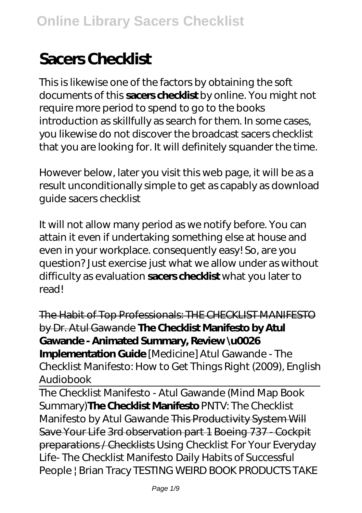# **Sacers Checklist**

This is likewise one of the factors by obtaining the soft documents of this **sacers checklist** by online. You might not require more period to spend to go to the books introduction as skillfully as search for them. In some cases, you likewise do not discover the broadcast sacers checklist that you are looking for. It will definitely squander the time.

However below, later you visit this web page, it will be as a result unconditionally simple to get as capably as download guide sacers checklist

It will not allow many period as we notify before. You can attain it even if undertaking something else at house and even in your workplace. consequently easy! So, are you question? Just exercise just what we allow under as without difficulty as evaluation **sacers checklist** what you later to read!

The Habit of Top Professionals: THE CHECKLIST MANIFESTO by Dr. Atul Gawande **The Checklist Manifesto by Atul Gawande - Animated Summary, Review \u0026 Implementation Guide** *[Medicine] Atul Gawande - The Checklist Manifesto: How to Get Things Right (2009), English Audiobook*

The Checklist Manifesto - Atul Gawande (Mind Map Book Summary)**The Checklist Manifesto** *PNTV: The Checklist Manifesto by Atul Gawande* This Productivity System Will Save Your Life 3rd observation part 1 Boeing 737 - Cockpit preparations / Checklists *Using Checklist For Your Everyday Life- The Checklist Manifesto Daily Habits of Successful People | Brian Tracy* TESTING WEIRD BOOK PRODUCTS TAKE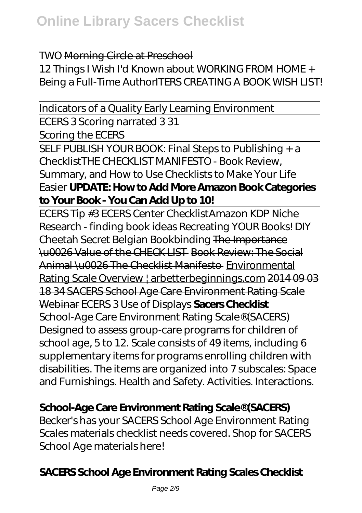#### TWO Morning Circle at Preschool

12 Things I Wish I'd Known about WORKING FROM HOME + Being a Full-Time Author/TERS CREATING A BOOK WISH LIST!

Indicators of a Quality Early Learning Environment

ECERS 3 Scoring narrated 3 31

Scoring the ECERS

SELF PUBLISH YOUR BOOK: Final Steps to Publishing + a Checklist*THE CHECKLIST MANIFESTO - Book Review, Summary, and How to Use Checklists to Make Your Life Easier* **UPDATE: How to Add More Amazon Book Categories to Your Book - You Can Add Up to 10!**

ECERS Tip #3 ECERS Center Checklist*Amazon KDP Niche Research - finding book ideas* Recreating YOUR Books! DIY Cheetah Secret Belgian Bookbinding The Importance \u0026 Value of the CHECK LIST Book Review: The Social Animal \u0026 The Checklist Manifesto Environmental Rating Scale Overview | arbetterbeginnings.com 2014 09 03 18 34 SACERS School Age Care Environment Rating Scale Webinar *ECERS 3 Use of Displays* **Sacers Checklist** School-Age Care Environment Rating Scale® (SACERS) Designed to assess group-care programs for children of school age, 5 to 12. Scale consists of 49 items, including 6 supplementary items for programs enrolling children with disabilities. The items are organized into 7 subscales: Space and Furnishings. Health and Safety. Activities. Interactions.

#### **School-Age Care Environment Rating Scale® (SACERS)**

Becker's has your SACERS School Age Environment Rating Scales materials checklist needs covered. Shop for SACERS School Age materials here!

### **SACERS School Age Environment Rating Scales Checklist**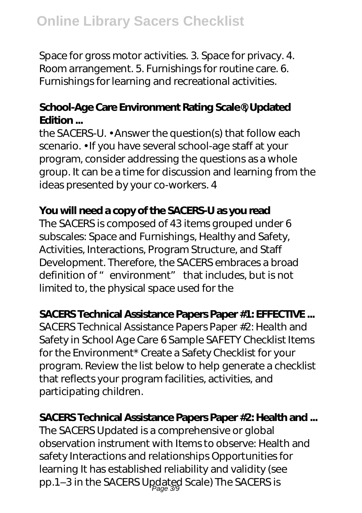Space for gross motor activities. 3. Space for privacy. 4. Room arrangement. 5. Furnishings for routine care. 6. Furnishings for learning and recreational activities.

# **School-Age Care Environment Rating Scale®, Updated Edition ...**

the SACERS-U. • Answer the question(s) that follow each scenario. • If you have several school-age staff at your program, consider addressing the questions as a whole group. It can be a time for discussion and learning from the ideas presented by your co-workers. 4

# **You will need a copy of the SACERS-U as you read**

The SACERS is composed of 43 items grouped under 6 subscales: Space and Furnishings, Healthy and Safety, Activities, Interactions, Program Structure, and Staff Development. Therefore, the SACERS embraces a broad definition of "environment" that includes, but is not limited to, the physical space used for the

### **SACERS Technical Assistance Papers Paper #1: EFFECTIVE ...**

SACERS Technical Assistance Papers Paper #2: Health and Safety in School Age Care 6 Sample SAFETY Checklist Items for the Environment\* Create a Safety Checklist for your program. Review the list below to help generate a checklist that reflects your program facilities, activities, and participating children.

#### **SACERS Technical Assistance Papers Paper #2: Health and ...**

The SACERS Updated is a comprehensive or global observation instrument with Items to observe: Health and safety Interactions and relationships Opportunities for learning It has established reliability and validity (see pp.1–3 in the SACERS Updated Scale) The SACERS is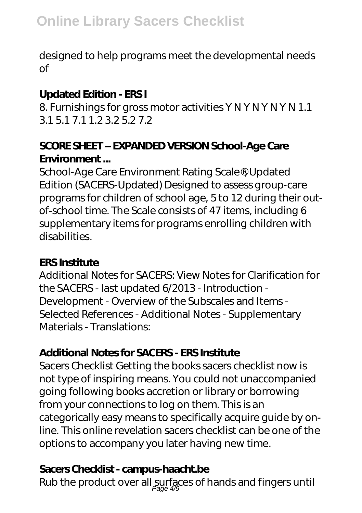designed to help programs meet the developmental needs of

# **Updated Edition - ERS I**

8. Furnishings for gross motor activities Y N Y N Y N Y N 1.1 3.1 5.1 7.1 1.2 3.2 5.2 7.2

# **SCORE SHEET – EXPANDED VERSION School-Age Care Environment ...**

School-Age Care Environment Rating Scale®, Updated Edition (SACERS-Updated) Designed to assess group-care programs for children of school age, 5 to 12 during their outof-school time. The Scale consists of 47 items, including 6 supplementary items for programs enrolling children with disabilities.

### **ERS Institute**

Additional Notes for SACERS: View Notes for Clarification for the SACERS - last updated 6/2013 - Introduction - Development - Overview of the Subscales and Items - Selected References - Additional Notes - Supplementary Materials - Translations:

# **Additional Notes for SACERS - ERS Institute**

Sacers Checklist Getting the books sacers checklist now is not type of inspiring means. You could not unaccompanied going following books accretion or library or borrowing from your connections to log on them. This is an categorically easy means to specifically acquire guide by online. This online revelation sacers checklist can be one of the options to accompany you later having new time.

# **Sacers Checklist - campus-haacht.be**

Rub the product over all  $\sup_{\textit{Page 4/9}}$  and  $\textit{G}$  and fingers until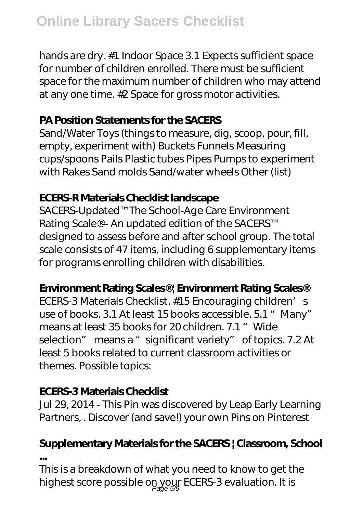hands are dry. #1 Indoor Space 3.1 Expects sufficient space for number of children enrolled. There must be sufficient space for the maximum number of children who may attend at any one time. #2 Space for gross motor activities.

#### **PA Position Statements for the SACERS**

Sand/Water Toys (things to measure, dig, scoop, pour, fill, empty, experiment with) Buckets Funnels Measuring cups/spoons Pails Plastic tubes Pipes Pumps to experiment with Rakes Sand molds Sand/water wheels Other (list)

#### **ECERS-R Materials Checklist landscape**

SACERS-Updated™ The School-Age Care Environment Rating Scale®- An updated edition of the SACERS™ designed to assess before and after school group. The total scale consists of 47 items, including 6 supplementary items for programs enrolling children with disabilities.

#### **Environment Rating Scales® | Environment Rating Scales®**

ECERS-3 Materials Checklist. #15 Encouraging children's use of books. 3.1 At least 15 books accessible. 5.1 "Many" means at least 35 books for 20 children. 7.1 "Wide selection" means a " significant variety" of topics. 7.2 At least 5 books related to current classroom activities or themes. Possible topics:

### **ECERS-3 Materials Checklist**

Jul 29, 2014 - This Pin was discovered by Leap Early Learning Partners, . Discover (and save!) your own Pins on Pinterest

#### **Supplementary Materials for the SACERS | Classroom, School ...**

This is a breakdown of what you need to know to get the highest score possible o<u>p y</u>our ECERS-3 evaluation. It is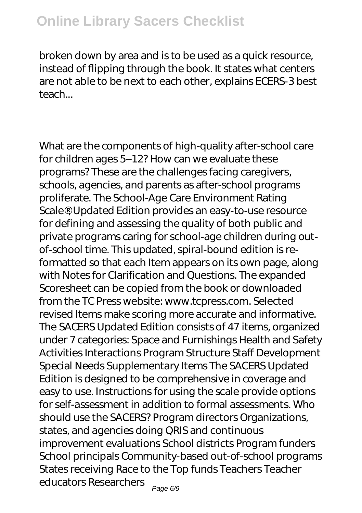# **Online Library Sacers Checklist**

broken down by area and is to be used as a quick resource, instead of flipping through the book. It states what centers are not able to be next to each other, explains ECERS-3 best teach...

What are the components of high-quality after-school care for children ages 5–12? How can we evaluate these programs? These are the challenges facing caregivers, schools, agencies, and parents as after-school programs proliferate. The School-Age Care Environment Rating Scale®, Updated Edition provides an easy-to-use resource for defining and assessing the quality of both public and private programs caring for school-age children during outof-school time. This updated, spiral-bound edition is reformatted so that each Item appears on its own page, along with Notes for Clarification and Questions. The expanded Scoresheet can be copied from the book or downloaded from the TC Press website: www.tcpress.com. Selected revised Items make scoring more accurate and informative. The SACERS Updated Edition consists of 47 items, organized under 7 categories: Space and Furnishings Health and Safety Activities Interactions Program Structure Staff Development Special Needs Supplementary Items The SACERS Updated Edition is designed to be comprehensive in coverage and easy to use. Instructions for using the scale provide options for self-assessment in addition to formal assessments. Who should use the SACERS? Program directors Organizations, states, and agencies doing QRIS and continuous improvement evaluations School districts Program funders School principals Community-based out-of-school programs States receiving Race to the Top funds Teachers Teacher educators Researchers Page 6/9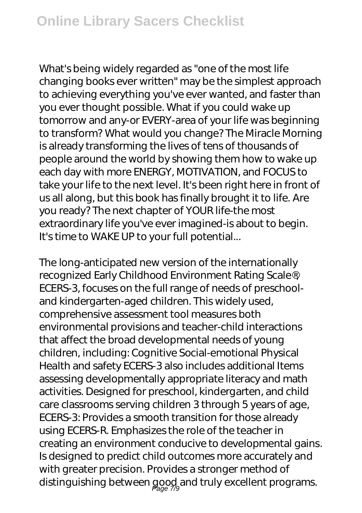What's being widely regarded as "one of the most life changing books ever written" may be the simplest approach to achieving everything you've ever wanted, and faster than you ever thought possible. What if you could wake up tomorrow and any-or EVERY-area of your life was beginning to transform? What would you change? The Miracle Morning is already transforming the lives of tens of thousands of people around the world by showing them how to wake up each day with more ENERGY, MOTIVATION, and FOCUS to take your life to the next level. It's been right here in front of us all along, but this book has finally brought it to life. Are you ready? The next chapter of YOUR life-the most extraordinary life you've ever imagined-is about to begin. It's time to WAKE UP to your full potential...

The long-anticipated new version of the internationally recognized Early Childhood Environment Rating Scale®, ECERS-3, focuses on the full range of needs of preschooland kindergarten-aged children. This widely used, comprehensive assessment tool measures both environmental provisions and teacher-child interactions that affect the broad developmental needs of young children, including: Cognitive Social-emotional Physical Health and safety ECERS-3 also includes additional Items assessing developmentally appropriate literacy and math activities. Designed for preschool, kindergarten, and child care classrooms serving children 3 through 5 years of age, ECERS-3: Provides a smooth transition for those already using ECERS-R. Emphasizes the role of the teacher in creating an environment conducive to developmental gains. Is designed to predict child outcomes more accurately and with greater precision. Provides a stronger method of distinguishing between good and truly excellent programs.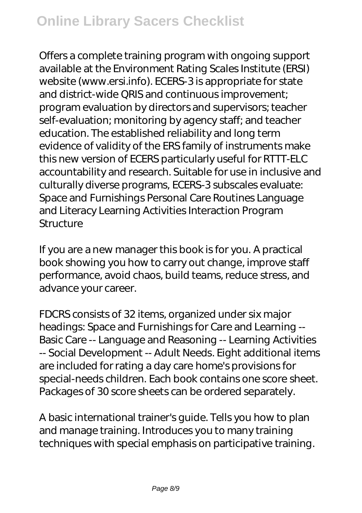Offers a complete training program with ongoing support available at the Environment Rating Scales Institute (ERSI) website (www.ersi.info). ECERS-3 is appropriate for state and district-wide QRIS and continuous improvement; program evaluation by directors and supervisors; teacher self-evaluation; monitoring by agency staff; and teacher education. The established reliability and long term evidence of validity of the ERS family of instruments make this new version of ECERS particularly useful for RTTT-ELC accountability and research. Suitable for use in inclusive and culturally diverse programs, ECERS-3 subscales evaluate: Space and Furnishings Personal Care Routines Language and Literacy Learning Activities Interaction Program **Structure** 

If you are a new manager this book is for you. A practical book showing you how to carry out change, improve staff performance, avoid chaos, build teams, reduce stress, and advance your career.

FDCRS consists of 32 items, organized under six major headings: Space and Furnishings for Care and Learning -- Basic Care -- Language and Reasoning -- Learning Activities -- Social Development -- Adult Needs. Eight additional items are included for rating a day care home's provisions for special-needs children. Each book contains one score sheet. Packages of 30 score sheets can be ordered separately.

A basic international trainer's guide. Tells you how to plan and manage training. Introduces you to many training techniques with special emphasis on participative training.